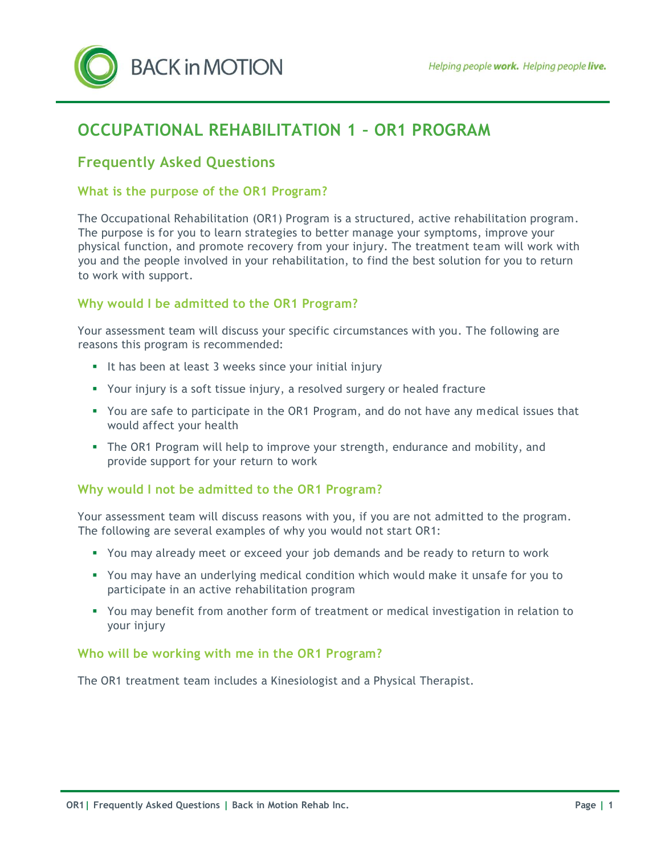

# **OCCUPATIONAL REHABILITATION 1 – OR1 PROGRAM**

# **Frequently Asked Questions**

### **What is the purpose of the OR1 Program?**

The Occupational Rehabilitation (OR1) Program is a structured, active rehabilitation program. The purpose is for you to learn strategies to better manage your symptoms, improve your physical function, and promote recovery from your injury. The treatment team will work with you and the people involved in your rehabilitation, to find the best solution for you to return to work with support.

# **Why would I be admitted to the OR1 Program?**

Your assessment team will discuss your specific circumstances with you. The following are reasons this program is recommended:

- It has been at least 3 weeks since your initial injury
- Your injury is a soft tissue injury, a resolved surgery or healed fracture
- You are safe to participate in the OR1 Program, and do not have any medical issues that would affect your health
- The OR1 Program will help to improve your strength, endurance and mobility, and provide support for your return to work

# **Why would I not be admitted to the OR1 Program?**

Your assessment team will discuss reasons with you, if you are not admitted to the program. The following are several examples of why you would not start OR1:

- You may already meet or exceed your job demands and be ready to return to work
- You may have an underlying medical condition which would make it unsafe for you to participate in an active rehabilitation program
- You may benefit from another form of treatment or medical investigation in relation to your injury

#### **Who will be working with me in the OR1 Program?**

The OR1 treatment team includes a Kinesiologist and a Physical Therapist.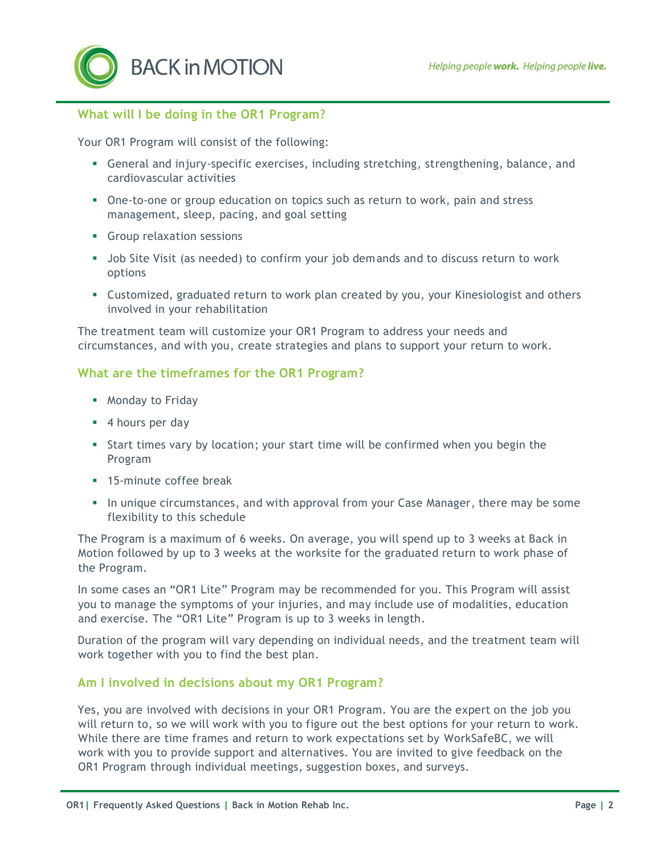**BACK in MOTION** 

# **What will I be doing in the OR1 Program?**

Your OR1 Program will consist of the following:

- General and injury-specific exercises, including stretching, strengthening, balance, and cardiovascular activities
- One-to-one or group education on topics such as return to work, pain and stress management, sleep, pacing, and goal setting
- **Group relaxation sessions**
- Job Site Visit (as needed) to confirm your job demands and to discuss return to work options
- Customized, graduated return to work plan created by you, your Kinesiologist and others involved in your rehabilitation

The treatment team will customize your OR1 Program to address your needs and circumstances, and with you, create strategies and plans to support your return to work.

#### **What are the timeframes for the OR1 Program?**

- **Monday to Friday**
- 4 hours per day
- Start times vary by location; your start time will be confirmed when you begin the Program
- **15-minute coffee break**
- In unique circumstances, and with approval from your Case Manager, there may be some flexibility to this schedule

The Program is a maximum of 6 weeks. On average, you will spend up to 3 weeks at Back in Motion followed by up to 3 weeks at the worksite for the graduated return to work phase of the Program.

In some cases an "OR1 Lite" Program may be recommended for you. This Program will assist you to manage the symptoms of your injuries, and may include use of modalities, education and exercise. The "OR1 Lite" Program is up to 3 weeks in length.

Duration of the program will vary depending on individual needs, and the treatment team will work together with you to find the best plan.

#### **Am I involved in decisions about my OR1 Program?**

Yes, you are involved with decisions in your OR1 Program. You are the expert on the job you will return to, so we will work with you to figure out the best options for your return to work. While there are time frames and return to work expectations set by WorkSafeBC, we will work with you to provide support and alternatives. You are invited to give feedback on the OR1 Program through individual meetings, suggestion boxes, and surveys.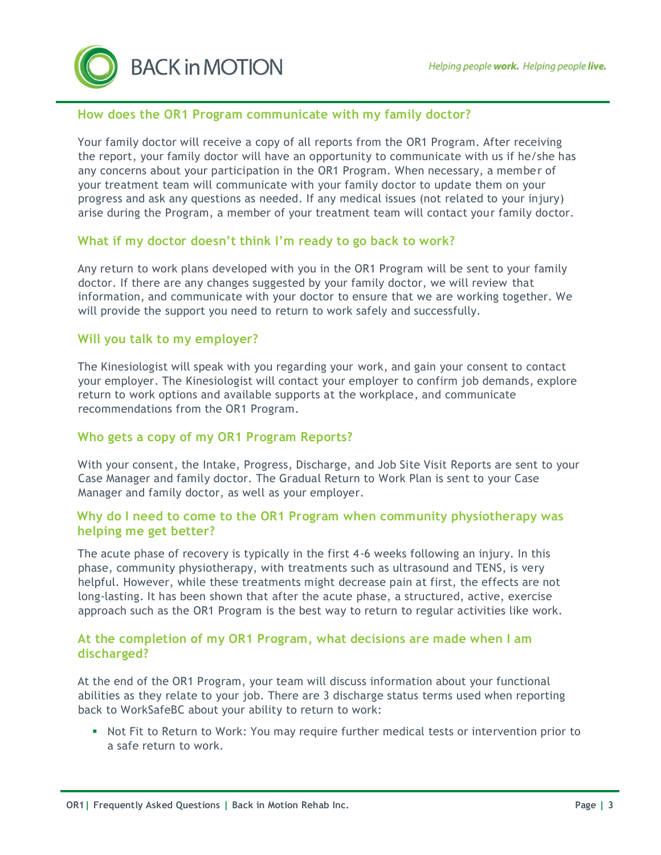**BACK in MOTION** 

# **How does the OR1 Program communicate with my family doctor?**

Your family doctor will receive a copy of all reports from the OR1 Program. After receiving the report, your family doctor will have an opportunity to communicate with us if he/she has any concerns about your participation in the OR1 Program. When necessary, a member of your treatment team will communicate with your family doctor to update them on your progress and ask any questions as needed. If any medical issues (not related to your injury) arise during the Program, a member of your treatment team will contact your family doctor.

# **What if my doctor doesn't think I'm ready to go back to work?**

Any return to work plans developed with you in the OR1 Program will be sent to your family doctor. If there are any changes suggested by your family doctor, we will review that information, and communicate with your doctor to ensure that we are working together. We will provide the support you need to return to work safely and successfully.

# **Will you talk to my employer?**

The Kinesiologist will speak with you regarding your work, and gain your consent to contact your employer. The Kinesiologist will contact your employer to confirm job demands, explore return to work options and available supports at the workplace, and communicate recommendations from the OR1 Program.

# **Who gets a copy of my OR1 Program Reports?**

With your consent, the Intake, Progress, Discharge, and Job Site Visit Reports are sent to your Case Manager and family doctor. The Gradual Return to Work Plan is sent to your Case Manager and family doctor, as well as your employer.

#### **Why do I need to come to the OR1 Program when community physiotherapy was helping me get better?**

The acute phase of recovery is typically in the first 4-6 weeks following an injury. In this phase, community physiotherapy, with treatments such as ultrasound and TENS, is very helpful. However, while these treatments might decrease pain at first, the effects are not long-lasting. It has been shown that after the acute phase, a structured, active, exercise approach such as the OR1 Program is the best way to return to regular activities like work.

#### **At the completion of my OR1 Program, what decisions are made when I am discharged?**

At the end of the OR1 Program, your team will discuss information about your functional abilities as they relate to your job. There are 3 discharge status terms used when reporting back to WorkSafeBC about your ability to return to work:

• Not Fit to Return to Work: You may require further medical tests or intervention prior to a safe return to work.